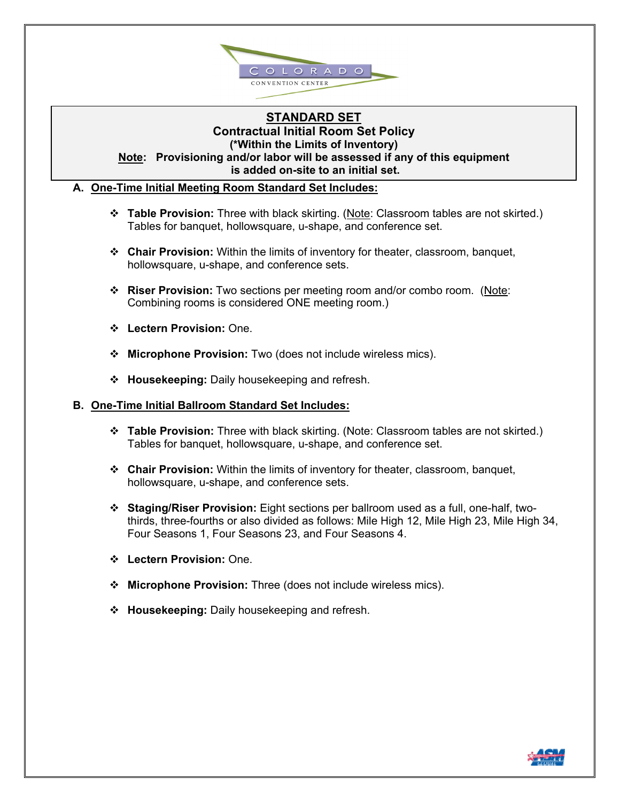

## **STANDARD SET Contractual Initial Room Set Policy (\*Within the Limits of Inventory)**

**Note: Provisioning and/or labor will be assessed if any of this equipment is added on-site to an initial set.** 

### **A. One-Time Initial Meeting Room Standard Set Includes:**

- **Table Provision:** Three with black skirting. (Note: Classroom tables are not skirted.) Tables for banquet, hollowsquare, u-shape, and conference set.
- **Chair Provision:** Within the limits of inventory for theater, classroom, banquet, hollowsquare, u-shape, and conference sets.
- **Riser Provision:** Two sections per meeting room and/or combo room. (Note: Combining rooms is considered ONE meeting room.)
- **Lectern Provision:** One.
- **Microphone Provision:** Two (does not include wireless mics).
- **Housekeeping:** Daily housekeeping and refresh.

#### **B. One-Time Initial Ballroom Standard Set Includes:**

- **Table Provision:** Three with black skirting. (Note: Classroom tables are not skirted.) Tables for banquet, hollowsquare, u-shape, and conference set.
- **Chair Provision:** Within the limits of inventory for theater, classroom, banquet, hollowsquare, u-shape, and conference sets.
- **Staging/Riser Provision:** Eight sections per ballroom used as a full, one-half, twothirds, three-fourths or also divided as follows: Mile High 12, Mile High 23, Mile High 34, Four Seasons 1, Four Seasons 23, and Four Seasons 4.
- **Lectern Provision:** One.
- **Microphone Provision:** Three (does not include wireless mics).
- **Housekeeping:** Daily housekeeping and refresh.

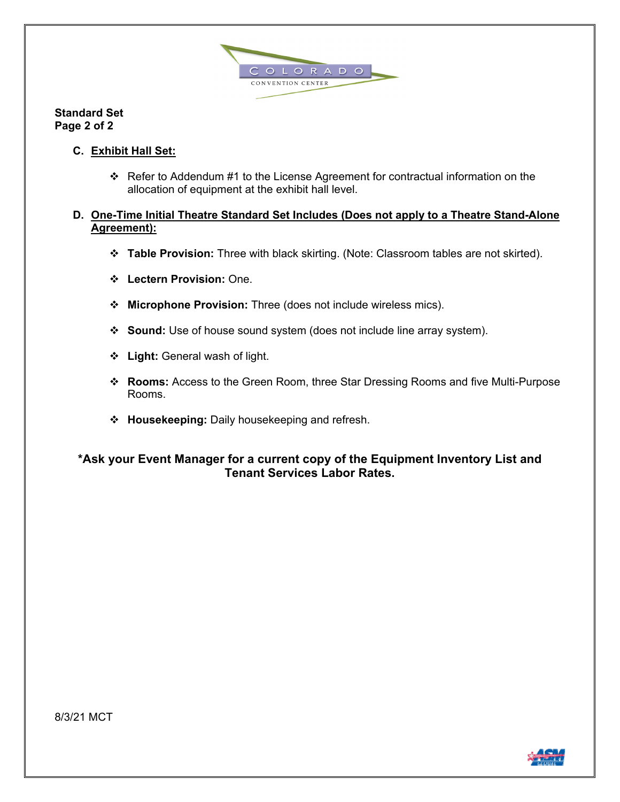

**Standard Set Page 2 of 2** 

- **C. Exhibit Hall Set:** 
	- Refer to Addendum #1 to the License Agreement for contractual information on the allocation of equipment at the exhibit hall level.

### **D. One-Time Initial Theatre Standard Set Includes (Does not apply to a Theatre Stand-Alone Agreement):**

- **Table Provision:** Three with black skirting. (Note: Classroom tables are not skirted).
- **Lectern Provision:** One.
- **Microphone Provision:** Three (does not include wireless mics).
- **Sound:** Use of house sound system (does not include line array system).
- **Light:** General wash of light.
- **Rooms:** Access to the Green Room, three Star Dressing Rooms and five Multi-Purpose Rooms.
- **Housekeeping:** Daily housekeeping and refresh.

# **\*Ask your Event Manager for a current copy of the Equipment Inventory List and Tenant Services Labor Rates.**

8/3/21 MCT

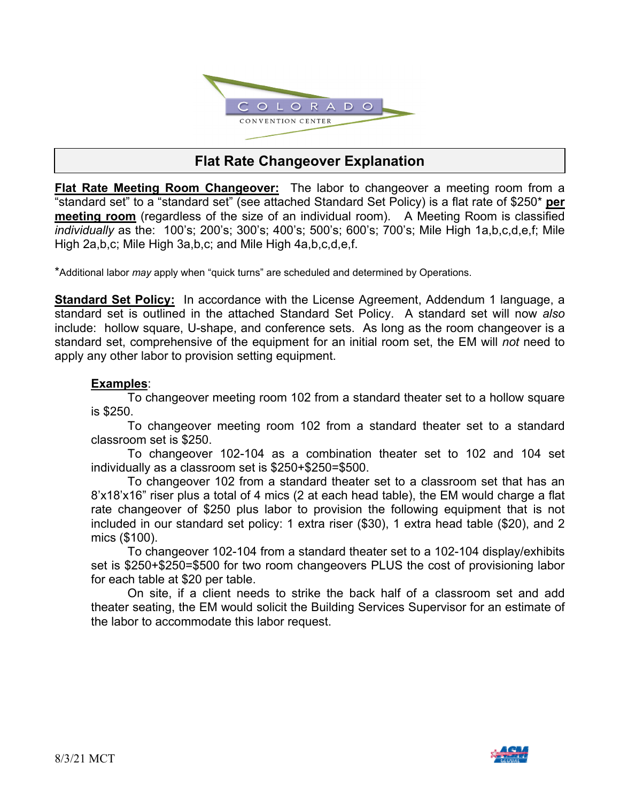

# **Flat Rate Changeover Explanation**

**Flat Rate Meeting Room Changeover:** The labor to changeover a meeting room from a "standard set" to a "standard set" (see attached Standard Set Policy) is a flat rate of \$250\* **per meeting room** (regardless of the size of an individual room). A Meeting Room is classified *individually* as the: 100's; 200's; 300's; 400's; 500's; 600's; 700's; Mile High 1a,b,c,d,e,f; Mile High 2a,b,c; Mile High 3a,b,c; and Mile High 4a,b,c,d,e,f.

\*Additional labor *may* apply when "quick turns" are scheduled and determined by Operations.

**Standard Set Policy:** In accordance with the License Agreement, Addendum 1 language, a standard set is outlined in the attached Standard Set Policy. A standard set will now *also* include: hollow square, U-shape, and conference sets. As long as the room changeover is a standard set, comprehensive of the equipment for an initial room set, the EM will *not* need to apply any other labor to provision setting equipment.

# **Examples**:

To changeover meeting room 102 from a standard theater set to a hollow square is \$250.

 To changeover meeting room 102 from a standard theater set to a standard classroom set is \$250.

 To changeover 102-104 as a combination theater set to 102 and 104 set individually as a classroom set is \$250+\$250=\$500.

 To changeover 102 from a standard theater set to a classroom set that has an 8'x18'x16" riser plus a total of 4 mics (2 at each head table), the EM would charge a flat rate changeover of \$250 plus labor to provision the following equipment that is not included in our standard set policy: 1 extra riser (\$30), 1 extra head table (\$20), and 2 mics (\$100).

 To changeover 102-104 from a standard theater set to a 102-104 display/exhibits set is \$250+\$250=\$500 for two room changeovers PLUS the cost of provisioning labor for each table at \$20 per table.

 On site, if a client needs to strike the back half of a classroom set and add theater seating, the EM would solicit the Building Services Supervisor for an estimate of the labor to accommodate this labor request.